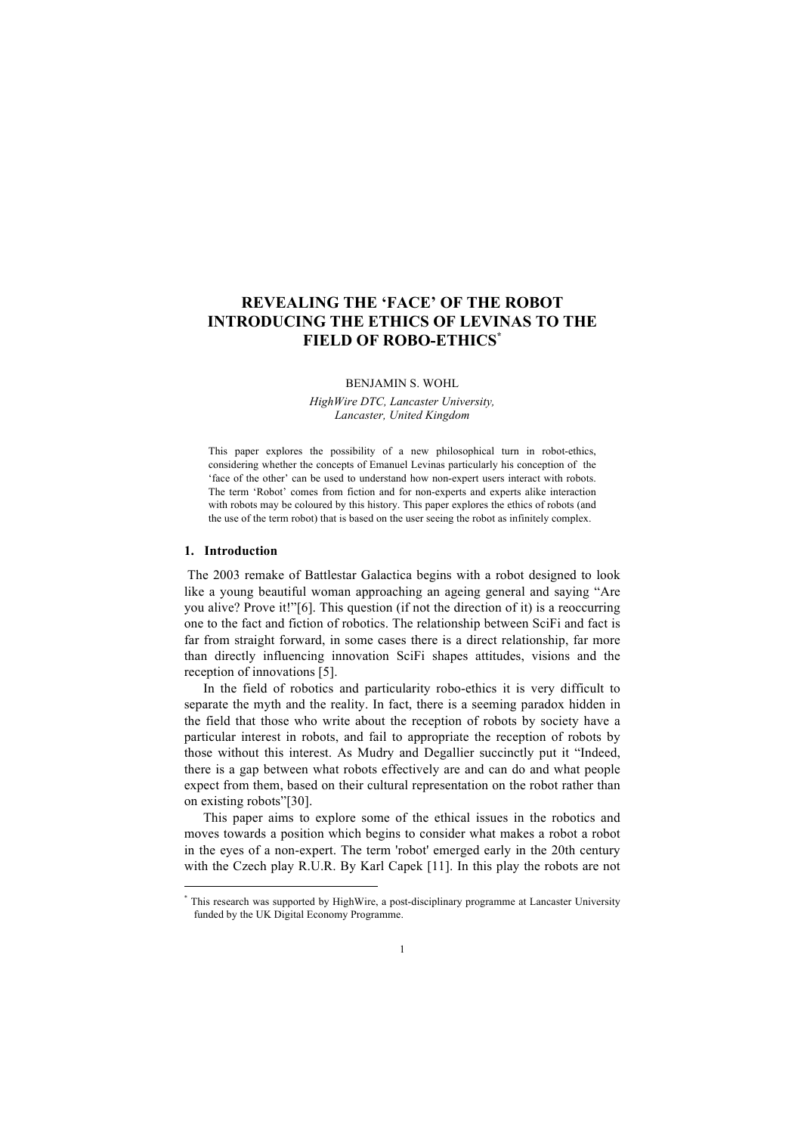# **REVEALING THE 'FACE' OF THE ROBOT INTRODUCING THE ETHICS OF LEVINAS TO THE FIELD OF ROBO-ETHICS\***

#### BENJAMIN S. WOHL

*HighWire DTC, Lancaster University, Lancaster, United Kingdom*

This paper explores the possibility of a new philosophical turn in robot-ethics, considering whether the concepts of Emanuel Levinas particularly his conception of the 'face of the other' can be used to understand how non-expert users interact with robots. The term 'Robot' comes from fiction and for non-experts and experts alike interaction with robots may be coloured by this history. This paper explores the ethics of robots (and the use of the term robot) that is based on the user seeing the robot as infinitely complex.

#### **1. Introduction**

The 2003 remake of Battlestar Galactica begins with a robot designed to look like a young beautiful woman approaching an ageing general and saying "Are you alive? Prove it!"[6]. This question (if not the direction of it) is a reoccurring one to the fact and fiction of robotics. The relationship between SciFi and fact is far from straight forward, in some cases there is a direct relationship, far more than directly influencing innovation SciFi shapes attitudes, visions and the reception of innovations [5].

In the field of robotics and particularity robo-ethics it is very difficult to separate the myth and the reality. In fact, there is a seeming paradox hidden in the field that those who write about the reception of robots by society have a particular interest in robots, and fail to appropriate the reception of robots by those without this interest. As Mudry and Degallier succinctly put it "Indeed, there is a gap between what robots effectively are and can do and what people expect from them, based on their cultural representation on the robot rather than on existing robots"[30].

This paper aims to explore some of the ethical issues in the robotics and moves towards a position which begins to consider what makes a robot a robot in the eyes of a non-expert. The term 'robot' emerged early in the 20th century with the Czech play R.U.R. By Karl Capek [11]. In this play the robots are not

 <sup>\*</sup> This research was supported by HighWire, a post-disciplinary programme at Lancaster University funded by the UK Digital Economy Programme.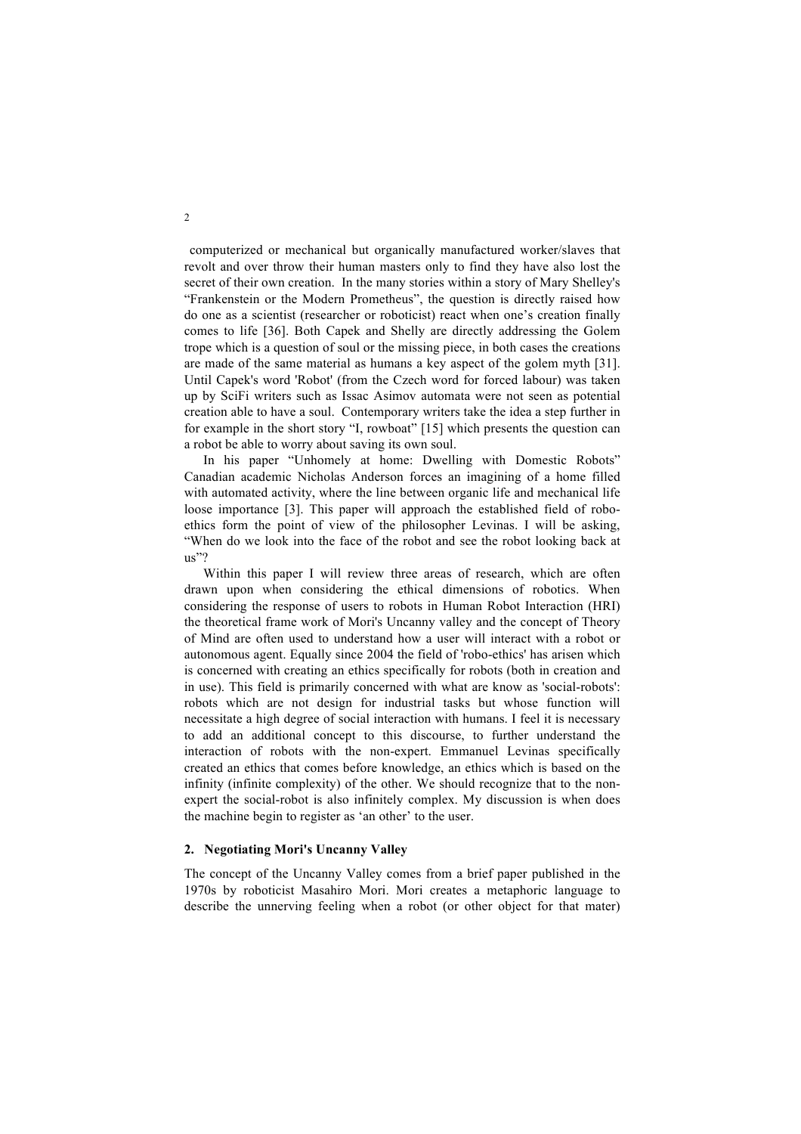computerized or mechanical but organically manufactured worker/slaves that revolt and over throw their human masters only to find they have also lost the secret of their own creation. In the many stories within a story of Mary Shelley's "Frankenstein or the Modern Prometheus", the question is directly raised how do one as a scientist (researcher or roboticist) react when one's creation finally comes to life [36]. Both Capek and Shelly are directly addressing the Golem trope which is a question of soul or the missing piece, in both cases the creations are made of the same material as humans a key aspect of the golem myth [31]. Until Capek's word 'Robot' (from the Czech word for forced labour) was taken up by SciFi writers such as Issac Asimov automata were not seen as potential creation able to have a soul. Contemporary writers take the idea a step further in for example in the short story "I, rowboat" [15] which presents the question can a robot be able to worry about saving its own soul.

In his paper "Unhomely at home: Dwelling with Domestic Robots" Canadian academic Nicholas Anderson forces an imagining of a home filled with automated activity, where the line between organic life and mechanical life loose importance [3]. This paper will approach the established field of roboethics form the point of view of the philosopher Levinas. I will be asking, "When do we look into the face of the robot and see the robot looking back at  $us"$ ?

Within this paper I will review three areas of research, which are often drawn upon when considering the ethical dimensions of robotics. When considering the response of users to robots in Human Robot Interaction (HRI) the theoretical frame work of Mori's Uncanny valley and the concept of Theory of Mind are often used to understand how a user will interact with a robot or autonomous agent. Equally since 2004 the field of 'robo-ethics' has arisen which is concerned with creating an ethics specifically for robots (both in creation and in use). This field is primarily concerned with what are know as 'social-robots': robots which are not design for industrial tasks but whose function will necessitate a high degree of social interaction with humans. I feel it is necessary to add an additional concept to this discourse, to further understand the interaction of robots with the non-expert. Emmanuel Levinas specifically created an ethics that comes before knowledge, an ethics which is based on the infinity (infinite complexity) of the other. We should recognize that to the nonexpert the social-robot is also infinitely complex. My discussion is when does the machine begin to register as 'an other' to the user.

# **2. Negotiating Mori's Uncanny Valley**

The concept of the Uncanny Valley comes from a brief paper published in the 1970s by roboticist Masahiro Mori. Mori creates a metaphoric language to describe the unnerving feeling when a robot (or other object for that mater)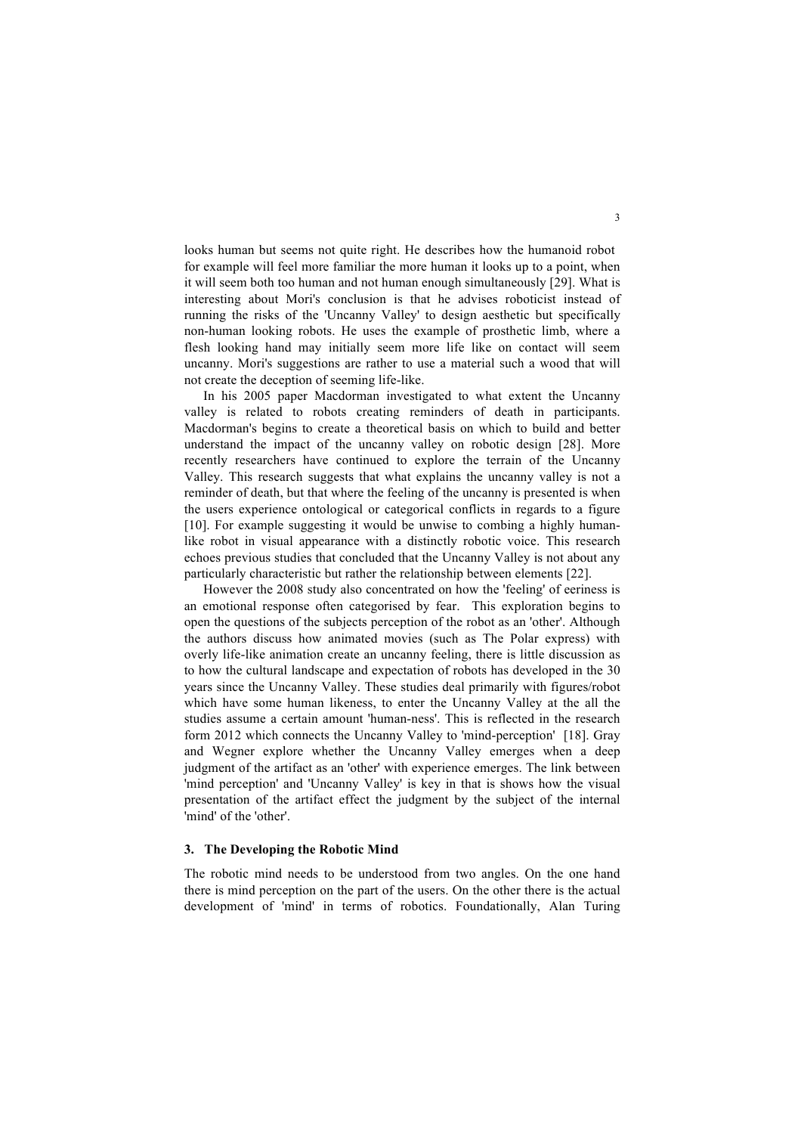looks human but seems not quite right. He describes how the humanoid robot for example will feel more familiar the more human it looks up to a point, when it will seem both too human and not human enough simultaneously [29]. What is interesting about Mori's conclusion is that he advises roboticist instead of running the risks of the 'Uncanny Valley' to design aesthetic but specifically non-human looking robots. He uses the example of prosthetic limb, where a flesh looking hand may initially seem more life like on contact will seem uncanny. Mori's suggestions are rather to use a material such a wood that will not create the deception of seeming life-like.

In his 2005 paper Macdorman investigated to what extent the Uncanny valley is related to robots creating reminders of death in participants. Macdorman's begins to create a theoretical basis on which to build and better understand the impact of the uncanny valley on robotic design [28]. More recently researchers have continued to explore the terrain of the Uncanny Valley. This research suggests that what explains the uncanny valley is not a reminder of death, but that where the feeling of the uncanny is presented is when the users experience ontological or categorical conflicts in regards to a figure [10]. For example suggesting it would be unwise to combing a highly humanlike robot in visual appearance with a distinctly robotic voice. This research echoes previous studies that concluded that the Uncanny Valley is not about any particularly characteristic but rather the relationship between elements [22].

However the 2008 study also concentrated on how the 'feeling' of eeriness is an emotional response often categorised by fear. This exploration begins to open the questions of the subjects perception of the robot as an 'other'. Although the authors discuss how animated movies (such as The Polar express) with overly life-like animation create an uncanny feeling, there is little discussion as to how the cultural landscape and expectation of robots has developed in the 30 years since the Uncanny Valley. These studies deal primarily with figures/robot which have some human likeness, to enter the Uncanny Valley at the all the studies assume a certain amount 'human-ness'. This is reflected in the research form 2012 which connects the Uncanny Valley to 'mind-perception' [18]. Gray and Wegner explore whether the Uncanny Valley emerges when a deep judgment of the artifact as an 'other' with experience emerges. The link between 'mind perception' and 'Uncanny Valley' is key in that is shows how the visual presentation of the artifact effect the judgment by the subject of the internal 'mind' of the 'other'.

# **3. The Developing the Robotic Mind**

The robotic mind needs to be understood from two angles. On the one hand there is mind perception on the part of the users. On the other there is the actual development of 'mind' in terms of robotics. Foundationally, Alan Turing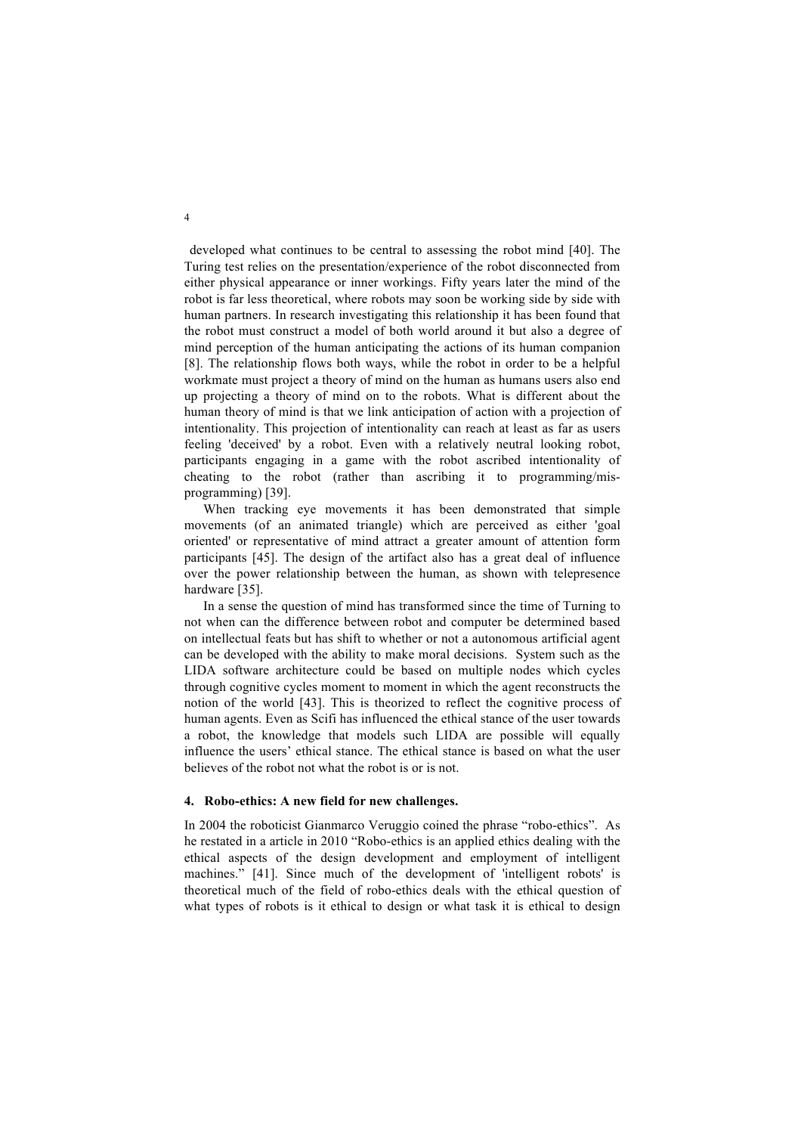developed what continues to be central to assessing the robot mind [40]. The Turing test relies on the presentation/experience of the robot disconnected from either physical appearance or inner workings. Fifty years later the mind of the robot is far less theoretical, where robots may soon be working side by side with human partners. In research investigating this relationship it has been found that the robot must construct a model of both world around it but also a degree of mind perception of the human anticipating the actions of its human companion [8]. The relationship flows both ways, while the robot in order to be a helpful workmate must project a theory of mind on the human as humans users also end up projecting a theory of mind on to the robots. What is different about the human theory of mind is that we link anticipation of action with a projection of intentionality. This projection of intentionality can reach at least as far as users feeling 'deceived' by a robot. Even with a relatively neutral looking robot, participants engaging in a game with the robot ascribed intentionality of cheating to the robot (rather than ascribing it to programming/misprogramming) [39].

When tracking eye movements it has been demonstrated that simple movements (of an animated triangle) which are perceived as either 'goal oriented' or representative of mind attract a greater amount of attention form participants [45]. The design of the artifact also has a great deal of influence over the power relationship between the human, as shown with telepresence hardware [35].

In a sense the question of mind has transformed since the time of Turning to not when can the difference between robot and computer be determined based on intellectual feats but has shift to whether or not a autonomous artificial agent can be developed with the ability to make moral decisions. System such as the LIDA software architecture could be based on multiple nodes which cycles through cognitive cycles moment to moment in which the agent reconstructs the notion of the world [43]. This is theorized to reflect the cognitive process of human agents. Even as Scifi has influenced the ethical stance of the user towards a robot, the knowledge that models such LIDA are possible will equally influence the users' ethical stance. The ethical stance is based on what the user believes of the robot not what the robot is or is not.

### **4. Robo-ethics: A new field for new challenges.**

In 2004 the roboticist Gianmarco Veruggio coined the phrase "robo-ethics". As he restated in a article in 2010 "Robo-ethics is an applied ethics dealing with the ethical aspects of the design development and employment of intelligent machines." [41]. Since much of the development of 'intelligent robots' is theoretical much of the field of robo-ethics deals with the ethical question of what types of robots is it ethical to design or what task it is ethical to design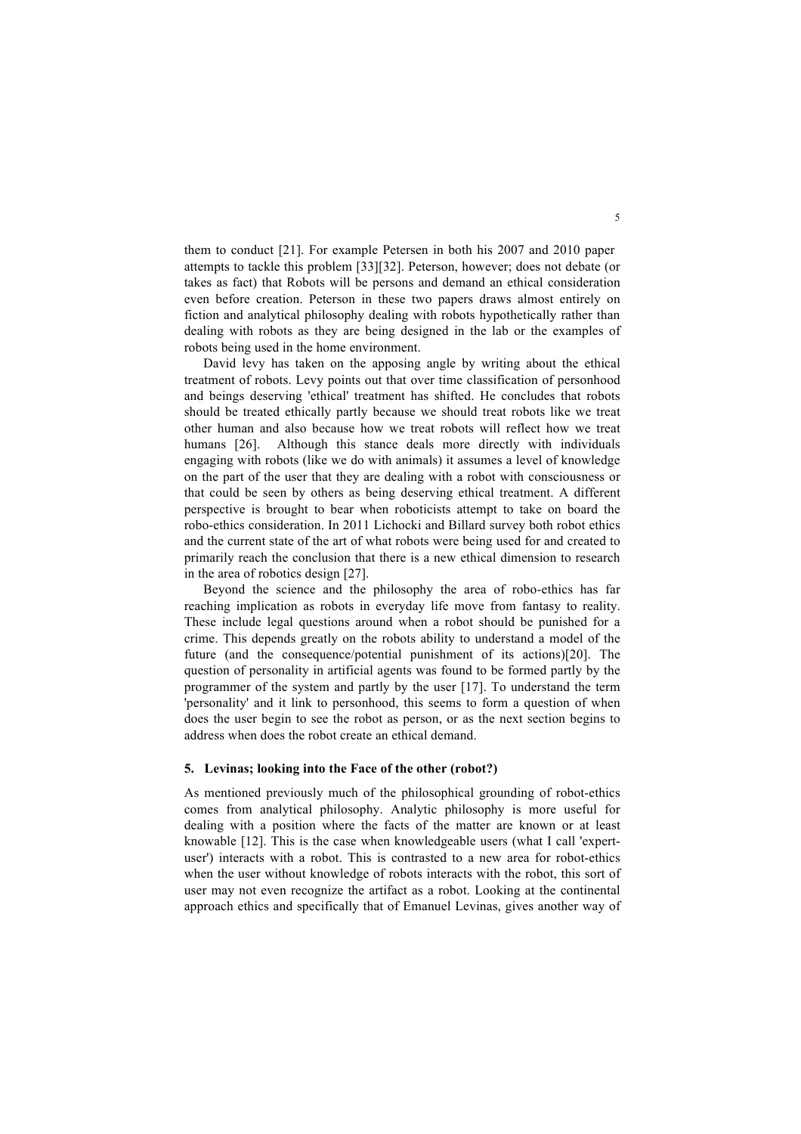them to conduct [21]. For example Petersen in both his 2007 and 2010 paper attempts to tackle this problem [33][32]. Peterson, however; does not debate (or takes as fact) that Robots will be persons and demand an ethical consideration even before creation. Peterson in these two papers draws almost entirely on fiction and analytical philosophy dealing with robots hypothetically rather than dealing with robots as they are being designed in the lab or the examples of robots being used in the home environment.

David levy has taken on the apposing angle by writing about the ethical treatment of robots. Levy points out that over time classification of personhood and beings deserving 'ethical' treatment has shifted. He concludes that robots should be treated ethically partly because we should treat robots like we treat other human and also because how we treat robots will reflect how we treat humans [26]. Although this stance deals more directly with individuals engaging with robots (like we do with animals) it assumes a level of knowledge on the part of the user that they are dealing with a robot with consciousness or that could be seen by others as being deserving ethical treatment. A different perspective is brought to bear when roboticists attempt to take on board the robo-ethics consideration. In 2011 Lichocki and Billard survey both robot ethics and the current state of the art of what robots were being used for and created to primarily reach the conclusion that there is a new ethical dimension to research in the area of robotics design [27].

Beyond the science and the philosophy the area of robo-ethics has far reaching implication as robots in everyday life move from fantasy to reality. These include legal questions around when a robot should be punished for a crime. This depends greatly on the robots ability to understand a model of the future (and the consequence/potential punishment of its actions)[20]. The question of personality in artificial agents was found to be formed partly by the programmer of the system and partly by the user [17]. To understand the term 'personality' and it link to personhood, this seems to form a question of when does the user begin to see the robot as person, or as the next section begins to address when does the robot create an ethical demand.

#### **5. Levinas; looking into the Face of the other (robot?)**

As mentioned previously much of the philosophical grounding of robot-ethics comes from analytical philosophy. Analytic philosophy is more useful for dealing with a position where the facts of the matter are known or at least knowable [12]. This is the case when knowledgeable users (what I call 'expertuser') interacts with a robot. This is contrasted to a new area for robot-ethics when the user without knowledge of robots interacts with the robot, this sort of user may not even recognize the artifact as a robot. Looking at the continental approach ethics and specifically that of Emanuel Levinas, gives another way of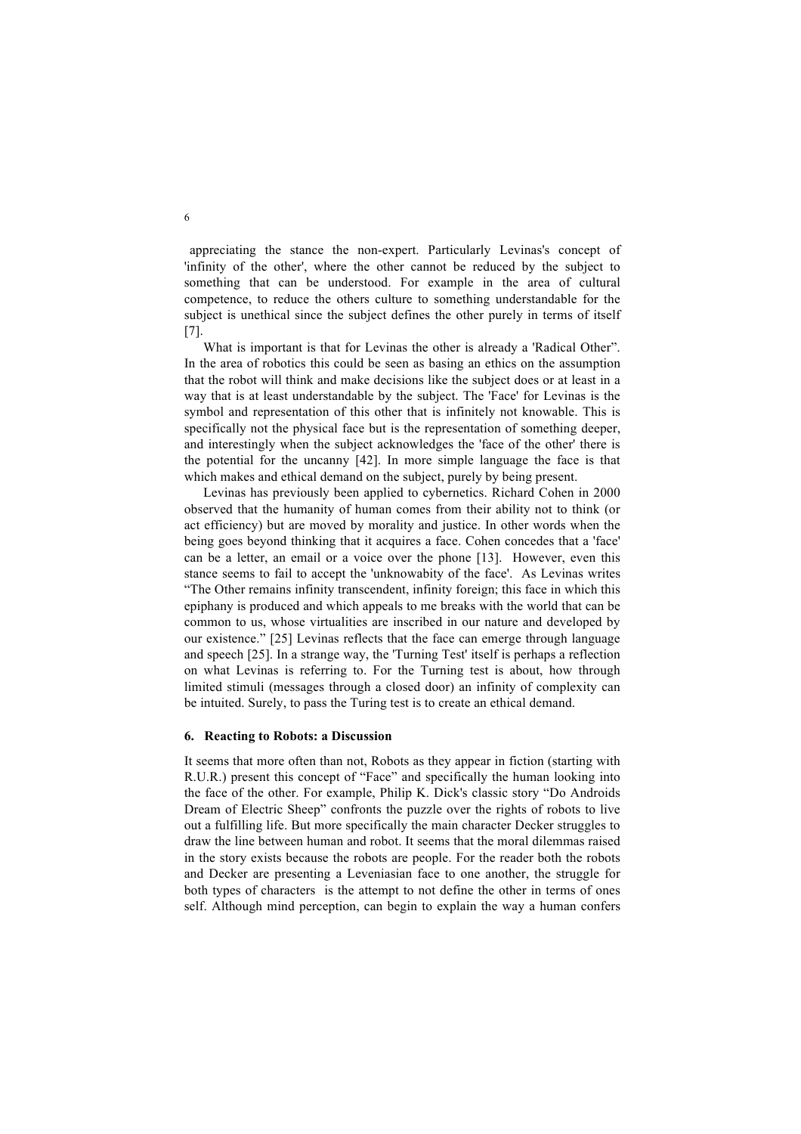appreciating the stance the non-expert. Particularly Levinas's concept of 'infinity of the other', where the other cannot be reduced by the subject to something that can be understood. For example in the area of cultural competence, to reduce the others culture to something understandable for the subject is unethical since the subject defines the other purely in terms of itself [7].

What is important is that for Levinas the other is already a 'Radical Other". In the area of robotics this could be seen as basing an ethics on the assumption that the robot will think and make decisions like the subject does or at least in a way that is at least understandable by the subject. The 'Face' for Levinas is the symbol and representation of this other that is infinitely not knowable. This is specifically not the physical face but is the representation of something deeper, and interestingly when the subject acknowledges the 'face of the other' there is the potential for the uncanny [42]. In more simple language the face is that which makes and ethical demand on the subject, purely by being present.

Levinas has previously been applied to cybernetics. Richard Cohen in 2000 observed that the humanity of human comes from their ability not to think (or act efficiency) but are moved by morality and justice. In other words when the being goes beyond thinking that it acquires a face. Cohen concedes that a 'face' can be a letter, an email or a voice over the phone [13]. However, even this stance seems to fail to accept the 'unknowabity of the face'. As Levinas writes "The Other remains infinity transcendent, infinity foreign; this face in which this epiphany is produced and which appeals to me breaks with the world that can be common to us, whose virtualities are inscribed in our nature and developed by our existence." [25] Levinas reflects that the face can emerge through language and speech [25]. In a strange way, the 'Turning Test' itself is perhaps a reflection on what Levinas is referring to. For the Turning test is about, how through limited stimuli (messages through a closed door) an infinity of complexity can be intuited. Surely, to pass the Turing test is to create an ethical demand.

#### **6. Reacting to Robots: a Discussion**

It seems that more often than not, Robots as they appear in fiction (starting with R.U.R.) present this concept of "Face" and specifically the human looking into the face of the other. For example, Philip K. Dick's classic story "Do Androids Dream of Electric Sheep" confronts the puzzle over the rights of robots to live out a fulfilling life. But more specifically the main character Decker struggles to draw the line between human and robot. It seems that the moral dilemmas raised in the story exists because the robots are people. For the reader both the robots and Decker are presenting a Leveniasian face to one another, the struggle for both types of characters is the attempt to not define the other in terms of ones self. Although mind perception, can begin to explain the way a human confers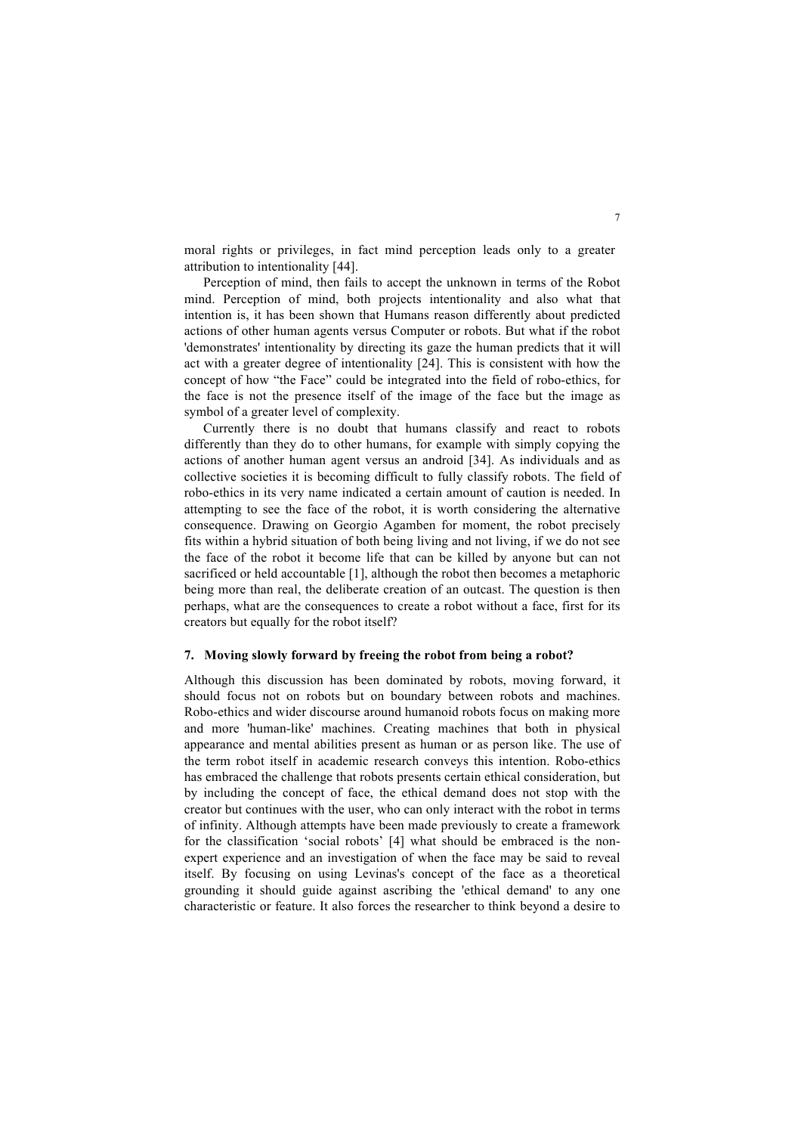moral rights or privileges, in fact mind perception leads only to a greater attribution to intentionality [44].

Perception of mind, then fails to accept the unknown in terms of the Robot mind. Perception of mind, both projects intentionality and also what that intention is, it has been shown that Humans reason differently about predicted actions of other human agents versus Computer or robots. But what if the robot 'demonstrates' intentionality by directing its gaze the human predicts that it will act with a greater degree of intentionality [24]. This is consistent with how the concept of how "the Face" could be integrated into the field of robo-ethics, for the face is not the presence itself of the image of the face but the image as symbol of a greater level of complexity.

Currently there is no doubt that humans classify and react to robots differently than they do to other humans, for example with simply copying the actions of another human agent versus an android [34]. As individuals and as collective societies it is becoming difficult to fully classify robots. The field of robo-ethics in its very name indicated a certain amount of caution is needed. In attempting to see the face of the robot, it is worth considering the alternative consequence. Drawing on Georgio Agamben for moment, the robot precisely fits within a hybrid situation of both being living and not living, if we do not see the face of the robot it become life that can be killed by anyone but can not sacrificed or held accountable [1], although the robot then becomes a metaphoric being more than real, the deliberate creation of an outcast. The question is then perhaps, what are the consequences to create a robot without a face, first for its creators but equally for the robot itself?

# **7. Moving slowly forward by freeing the robot from being a robot?**

Although this discussion has been dominated by robots, moving forward, it should focus not on robots but on boundary between robots and machines. Robo-ethics and wider discourse around humanoid robots focus on making more and more 'human-like' machines. Creating machines that both in physical appearance and mental abilities present as human or as person like. The use of the term robot itself in academic research conveys this intention. Robo-ethics has embraced the challenge that robots presents certain ethical consideration, but by including the concept of face, the ethical demand does not stop with the creator but continues with the user, who can only interact with the robot in terms of infinity. Although attempts have been made previously to create a framework for the classification 'social robots' [4] what should be embraced is the nonexpert experience and an investigation of when the face may be said to reveal itself. By focusing on using Levinas's concept of the face as a theoretical grounding it should guide against ascribing the 'ethical demand' to any one characteristic or feature. It also forces the researcher to think beyond a desire to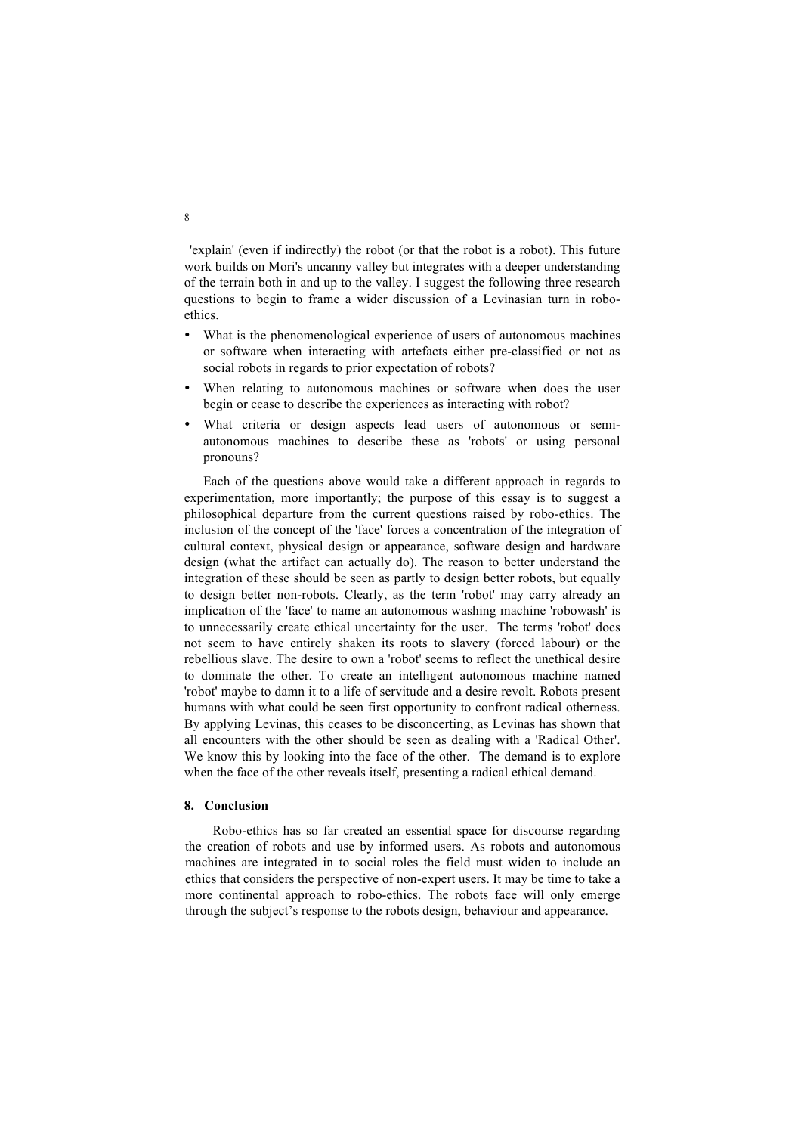'explain' (even if indirectly) the robot (or that the robot is a robot). This future work builds on Mori's uncanny valley but integrates with a deeper understanding of the terrain both in and up to the valley. I suggest the following three research questions to begin to frame a wider discussion of a Levinasian turn in roboethics.

- What is the phenomenological experience of users of autonomous machines or software when interacting with artefacts either pre-classified or not as social robots in regards to prior expectation of robots?
- When relating to autonomous machines or software when does the user begin or cease to describe the experiences as interacting with robot?
- What criteria or design aspects lead users of autonomous or semiautonomous machines to describe these as 'robots' or using personal pronouns?

Each of the questions above would take a different approach in regards to experimentation, more importantly; the purpose of this essay is to suggest a philosophical departure from the current questions raised by robo-ethics. The inclusion of the concept of the 'face' forces a concentration of the integration of cultural context, physical design or appearance, software design and hardware design (what the artifact can actually do). The reason to better understand the integration of these should be seen as partly to design better robots, but equally to design better non-robots. Clearly, as the term 'robot' may carry already an implication of the 'face' to name an autonomous washing machine 'robowash' is to unnecessarily create ethical uncertainty for the user. The terms 'robot' does not seem to have entirely shaken its roots to slavery (forced labour) or the rebellious slave. The desire to own a 'robot' seems to reflect the unethical desire to dominate the other. To create an intelligent autonomous machine named 'robot' maybe to damn it to a life of servitude and a desire revolt. Robots present humans with what could be seen first opportunity to confront radical otherness. By applying Levinas, this ceases to be disconcerting, as Levinas has shown that all encounters with the other should be seen as dealing with a 'Radical Other'. We know this by looking into the face of the other. The demand is to explore when the face of the other reveals itself, presenting a radical ethical demand.

# **8. Conclusion**

Robo-ethics has so far created an essential space for discourse regarding the creation of robots and use by informed users. As robots and autonomous machines are integrated in to social roles the field must widen to include an ethics that considers the perspective of non-expert users. It may be time to take a more continental approach to robo-ethics. The robots face will only emerge through the subject's response to the robots design, behaviour and appearance.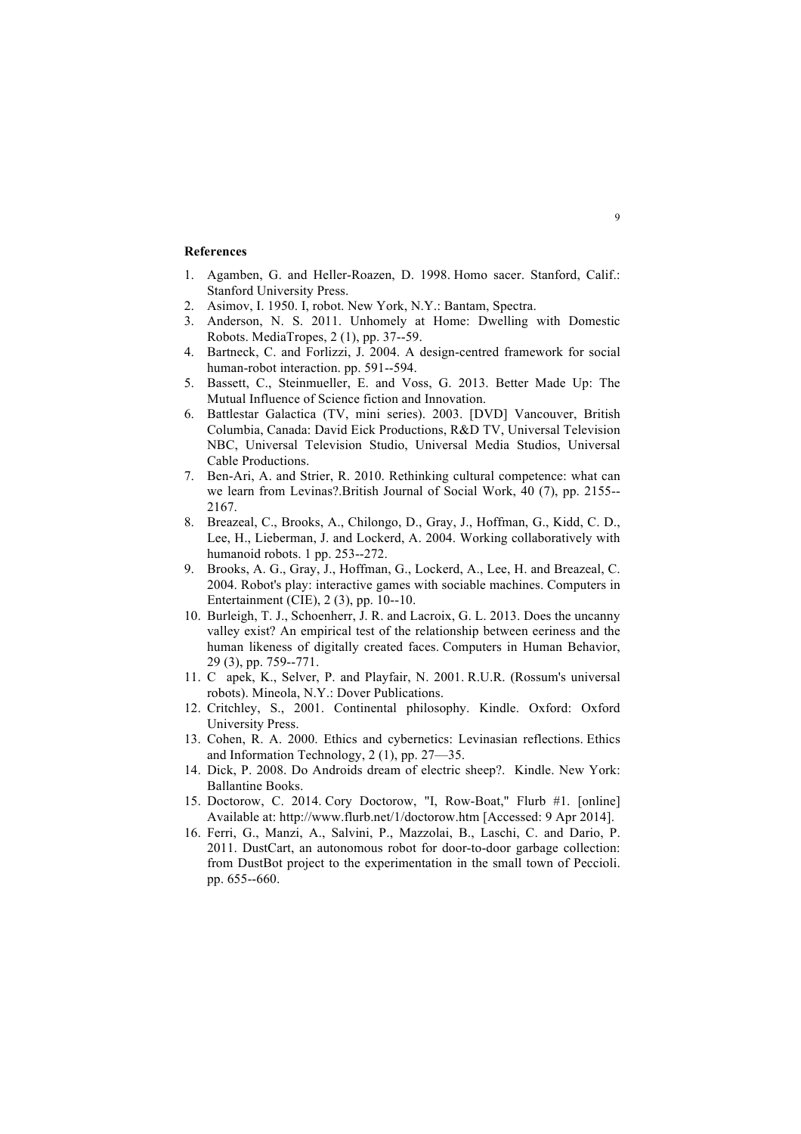#### **References**

- 1. Agamben, G. and Heller-Roazen, D. 1998. Homo sacer. Stanford, Calif.: Stanford University Press.
- 2. Asimov, I. 1950. I, robot. New York, N.Y.: Bantam, Spectra.
- 3. Anderson, N. S. 2011. Unhomely at Home: Dwelling with Domestic Robots. MediaTropes, 2 (1), pp. 37--59.
- 4. Bartneck, C. and Forlizzi, J. 2004. A design-centred framework for social human-robot interaction. pp. 591--594.
- 5. Bassett, C., Steinmueller, E. and Voss, G. 2013. Better Made Up: The Mutual Influence of Science fiction and Innovation.
- 6. Battlestar Galactica (TV, mini series). 2003. [DVD] Vancouver, British Columbia, Canada: David Eick Productions, R&D TV, Universal Television NBC, Universal Television Studio, Universal Media Studios, Universal Cable Productions.
- 7. Ben-Ari, A. and Strier, R. 2010. Rethinking cultural competence: what can we learn from Levinas?.British Journal of Social Work, 40 (7), pp. 2155-- 2167.
- 8. Breazeal, C., Brooks, A., Chilongo, D., Gray, J., Hoffman, G., Kidd, C. D., Lee, H., Lieberman, J. and Lockerd, A. 2004. Working collaboratively with humanoid robots. 1 pp. 253--272.
- 9. Brooks, A. G., Gray, J., Hoffman, G., Lockerd, A., Lee, H. and Breazeal, C. 2004. Robot's play: interactive games with sociable machines. Computers in Entertainment (CIE), 2 (3), pp. 10--10.
- 10. Burleigh, T. J., Schoenherr, J. R. and Lacroix, G. L. 2013. Does the uncanny valley exist? An empirical test of the relationship between eeriness and the human likeness of digitally created faces. Computers in Human Behavior, 29 (3), pp. 759--771.
- 11. C apek, K., Selver, P. and Playfair, N. 2001. R.U.R. (Rossum's universal robots). Mineola, N.Y.: Dover Publications.
- 12. Critchley, S., 2001. Continental philosophy. Kindle. Oxford: Oxford University Press.
- 13. Cohen, R. A. 2000. Ethics and cybernetics: Levinasian reflections. Ethics and Information Technology, 2 (1), pp. 27—35.
- 14. Dick, P. 2008. Do Androids dream of electric sheep?. Kindle. New York: Ballantine Books.
- 15. Doctorow, C. 2014. Cory Doctorow, "I, Row-Boat," Flurb #1. [online] Available at: http://www.flurb.net/1/doctorow.htm [Accessed: 9 Apr 2014].
- 16. Ferri, G., Manzi, A., Salvini, P., Mazzolai, B., Laschi, C. and Dario, P. 2011. DustCart, an autonomous robot for door-to-door garbage collection: from DustBot project to the experimentation in the small town of Peccioli. pp. 655--660.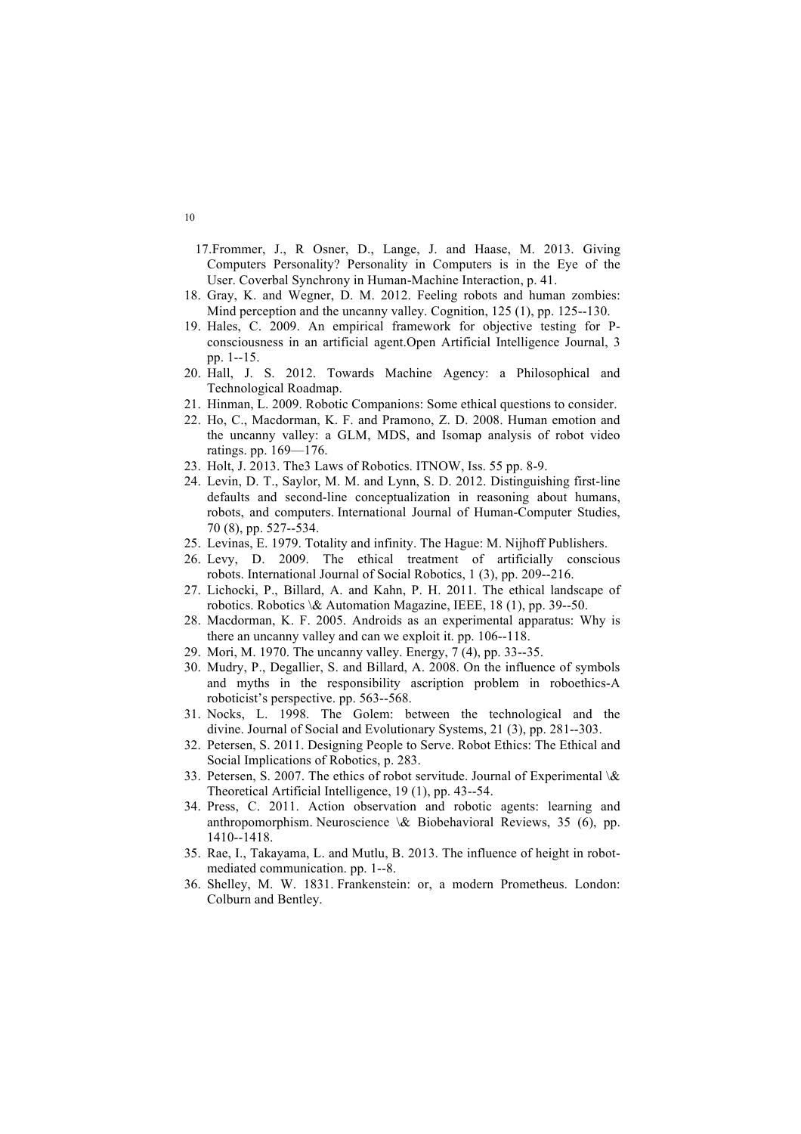- 17.Frommer, J., R Osner, D., Lange, J. and Haase, M. 2013. Giving Computers Personality? Personality in Computers is in the Eye of the User. Coverbal Synchrony in Human-Machine Interaction, p. 41.
- 18. Gray, K. and Wegner, D. M. 2012. Feeling robots and human zombies: Mind perception and the uncanny valley. Cognition, 125 (1), pp. 125--130.
- 19. Hales, C. 2009. An empirical framework for objective testing for Pconsciousness in an artificial agent.Open Artificial Intelligence Journal, 3 pp. 1--15.
- 20. Hall, J. S. 2012. Towards Machine Agency: a Philosophical and Technological Roadmap.
- 21. Hinman, L. 2009. Robotic Companions: Some ethical questions to consider.
- 22. Ho, C., Macdorman, K. F. and Pramono, Z. D. 2008. Human emotion and the uncanny valley: a GLM, MDS, and Isomap analysis of robot video ratings. pp. 169—176.
- 23. Holt, J. 2013. The3 Laws of Robotics. ITNOW, Iss. 55 pp. 8-9.
- 24. Levin, D. T., Saylor, M. M. and Lynn, S. D. 2012. Distinguishing first-line defaults and second-line conceptualization in reasoning about humans, robots, and computers. International Journal of Human-Computer Studies, 70 (8), pp. 527--534.
- 25. Levinas, E. 1979. Totality and infinity. The Hague: M. Nijhoff Publishers.
- 26. Levy, D. 2009. The ethical treatment of artificially conscious robots. International Journal of Social Robotics, 1 (3), pp. 209--216.
- 27. Lichocki, P., Billard, A. and Kahn, P. H. 2011. The ethical landscape of robotics. Robotics \& Automation Magazine, IEEE, 18 (1), pp. 39--50.
- 28. Macdorman, K. F. 2005. Androids as an experimental apparatus: Why is there an uncanny valley and can we exploit it. pp. 106--118.
- 29. Mori, M. 1970. The uncanny valley. Energy, 7 (4), pp. 33--35.
- 30. Mudry, P., Degallier, S. and Billard, A. 2008. On the influence of symbols and myths in the responsibility ascription problem in roboethics-A roboticist's perspective. pp. 563--568.
- 31. Nocks, L. 1998. The Golem: between the technological and the divine. Journal of Social and Evolutionary Systems, 21 (3), pp. 281--303.
- 32. Petersen, S. 2011. Designing People to Serve. Robot Ethics: The Ethical and Social Implications of Robotics, p. 283.
- 33. Petersen, S. 2007. The ethics of robot servitude. Journal of Experimental \& Theoretical Artificial Intelligence, 19 (1), pp. 43--54.
- 34. Press, C. 2011. Action observation and robotic agents: learning and anthropomorphism. Neuroscience \& Biobehavioral Reviews, 35 (6), pp. 1410--1418.
- 35. Rae, I., Takayama, L. and Mutlu, B. 2013. The influence of height in robotmediated communication. pp. 1--8.
- 36. Shelley, M. W. 1831. Frankenstein: or, a modern Prometheus. London: Colburn and Bentley.